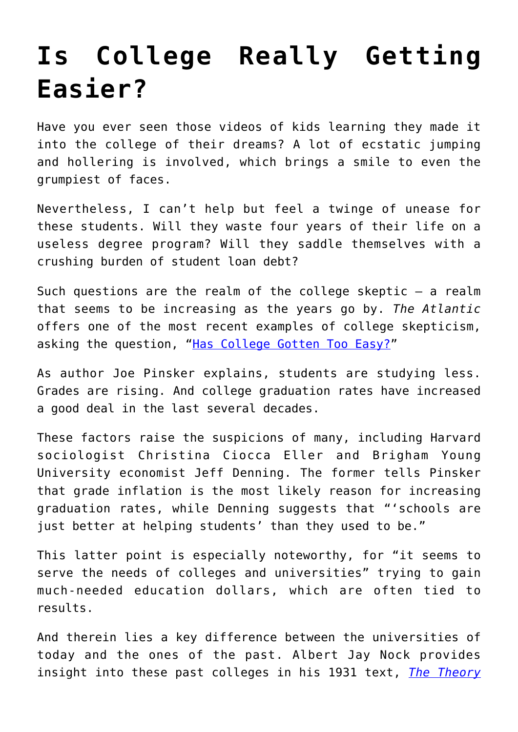## **[Is College Really Getting](https://intellectualtakeout.org/2019/07/is-college-really-getting-easier/) [Easier?](https://intellectualtakeout.org/2019/07/is-college-really-getting-easier/)**

Have you ever seen those videos of kids learning they made it into the college of their dreams? A lot of ecstatic jumping and hollering is involved, which brings a smile to even the grumpiest of faces.

Nevertheless, I can't help but feel a twinge of unease for these students. Will they waste four years of their life on a useless degree program? Will they saddle themselves with a crushing burden of student loan debt?

Such questions are the realm of the college skeptic  $-$  a realm that seems to be increasing as the years go by. *The Atlantic* offers one of the most recent examples of college skepticism, asking the question, ["Has College Gotten Too Easy?"](https://www.theatlantic.com/education/archive/2019/07/has-college-gotten-easier/594550/?utm_source=feed)

As author Joe Pinsker explains, students are studying less. Grades are rising. And college graduation rates have increased a good deal in the last several decades.

These factors raise the suspicions of many, including Harvard sociologist Christina Ciocca Eller and Brigham Young University economist Jeff Denning. The former tells Pinsker that grade inflation is the most likely reason for increasing graduation rates, while Denning suggests that "'schools are just better at helping students' than they used to be."

This latter point is especially noteworthy, for "it seems to serve the needs of colleges and universities" trying to gain much-needed education dollars, which are often tied to results.

And therein lies a key difference between the universities of today and the ones of the past. Albert Jay Nock provides insight into these past colleges in his 1931 text, *[The Theory](https://www.amazon.com/gp/product/1610160940/ref=as_li_qf_asin_il_tl?ie=UTF8&tag=intelltakeo0d-20&creative=9325&linkCode=as2&creativeASIN=1610160940&linkId=fd4793843ca56ad51a52ff5f2f281b4e)*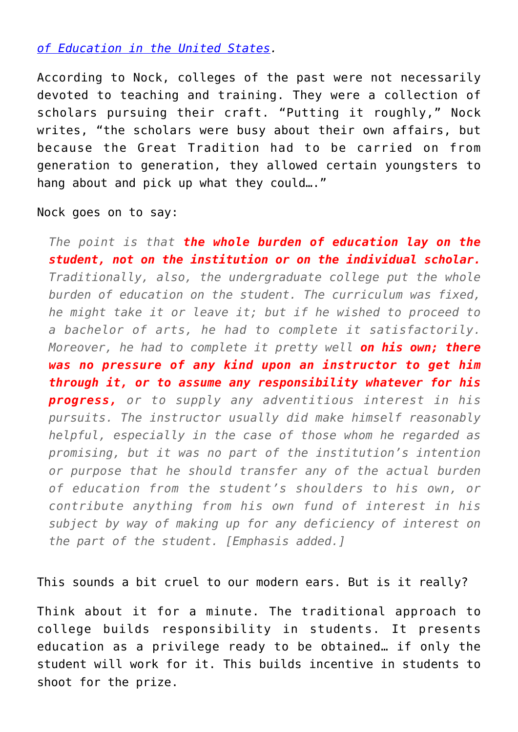*[of Education in the United States.](https://www.amazon.com/gp/product/1610160940/ref=as_li_qf_asin_il_tl?ie=UTF8&tag=intelltakeo0d-20&creative=9325&linkCode=as2&creativeASIN=1610160940&linkId=fd4793843ca56ad51a52ff5f2f281b4e)*

According to Nock, colleges of the past were not necessarily devoted to teaching and training. They were a collection of scholars pursuing their craft. "Putting it roughly," Nock writes, "the scholars were busy about their own affairs, but because the Great Tradition had to be carried on from generation to generation, they allowed certain youngsters to hang about and pick up what they could…."

Nock goes on to say:

*The point is that the whole burden of education lay on the student, not on the institution or on the individual scholar. Traditionally, also, the undergraduate college put the whole burden of education on the student. The curriculum was fixed, he might take it or leave it; but if he wished to proceed to a bachelor of arts, he had to complete it satisfactorily. Moreover, he had to complete it pretty well on his own; there was no pressure of any kind upon an instructor to get him through it, or to assume any responsibility whatever for his progress, or to supply any adventitious interest in his pursuits. The instructor usually did make himself reasonably helpful, especially in the case of those whom he regarded as promising, but it was no part of the institution's intention or purpose that he should transfer any of the actual burden of education from the student's shoulders to his own, or contribute anything from his own fund of interest in his subject by way of making up for any deficiency of interest on the part of the student. [Emphasis added.]*

This sounds a bit cruel to our modern ears. But is it really?

Think about it for a minute. The traditional approach to college builds responsibility in students. It presents education as a privilege ready to be obtained… if only the student will work for it. This builds incentive in students to shoot for the prize.